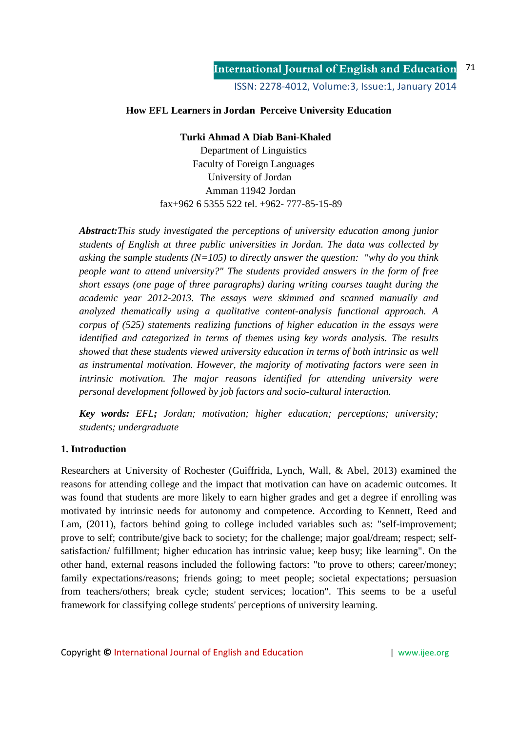# **How EFL Learners in Jordan Perceive University Education**

### **Turki Ahmad A Diab Bani-Khaled**

 Department of Linguistics Faculty of Foreign Languages University of Jordan Amman 11942 Jordan fax+962 6 5355 522 tel. +962- 777-85-15-89

*Abstract:This study investigated the perceptions of university education among junior students of English at three public universities in Jordan. The data was collected by asking the sample students (N=105) to directly answer the question: "why do you think people want to attend university?" The students provided answers in the form of free short essays (one page of three paragraphs) during writing courses taught during the academic year 2012-2013. The essays were skimmed and scanned manually and analyzed thematically using a qualitative content-analysis functional approach. A corpus of (525) statements realizing functions of higher education in the essays were identified and categorized in terms of themes using key words analysis. The results showed that these students viewed university education in terms of both intrinsic as well as instrumental motivation. However, the majority of motivating factors were seen in intrinsic motivation. The major reasons identified for attending university were personal development followed by job factors and socio-cultural interaction.* 

*Key words: EFL; Jordan; motivation; higher education; perceptions; university; students; undergraduate* 

#### **1. Introduction**

Researchers at University of Rochester (Guiffrida, Lynch, Wall, & Abel, 2013) examined the reasons for attending college and the impact that motivation can have on academic outcomes. It was found that students are more likely to earn higher grades and get a degree if enrolling was motivated by intrinsic needs for autonomy and competence. According to Kennett, Reed and Lam, (2011), factors behind going to college included variables such as: "self-improvement; prove to self; contribute/give back to society; for the challenge; major goal/dream; respect; selfsatisfaction/ fulfillment; higher education has intrinsic value; keep busy; like learning". On the other hand, external reasons included the following factors: "to prove to others; career/money; family expectations/reasons; friends going; to meet people; societal expectations; persuasion from teachers/others; break cycle; student services; location". This seems to be a useful framework for classifying college students' perceptions of university learning.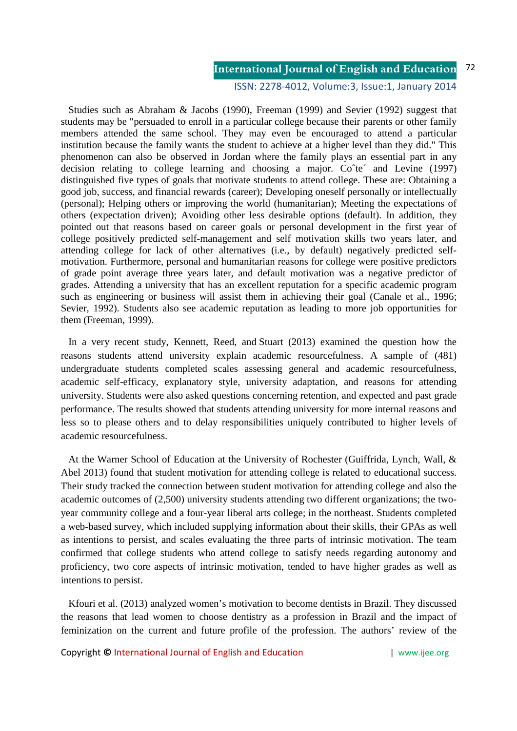#### ISSN: 2278-4012, Volume:3, Issue:1, January 2014

 Studies such as Abraham & Jacobs (1990), Freeman (1999) and Sevier (1992) suggest that students may be "persuaded to enroll in a particular college because their parents or other family members attended the same school. They may even be encouraged to attend a particular institution because the family wants the student to achieve at a higher level than they did." This phenomenon can also be observed in Jordan where the family plays an essential part in any decision relating to college learning and choosing a major. Coˆte´ and Levine (1997) distinguished five types of goals that motivate students to attend college. These are: Obtaining a good job, success, and financial rewards (career); Developing oneself personally or intellectually (personal); Helping others or improving the world (humanitarian); Meeting the expectations of others (expectation driven); Avoiding other less desirable options (default). In addition, they pointed out that reasons based on career goals or personal development in the first year of college positively predicted self-management and self motivation skills two years later, and attending college for lack of other alternatives (i.e., by default) negatively predicted selfmotivation. Furthermore, personal and humanitarian reasons for college were positive predictors of grade point average three years later, and default motivation was a negative predictor of grades. Attending a university that has an excellent reputation for a specific academic program such as engineering or business will assist them in achieving their goal (Canale et al., 1996; Sevier, 1992). Students also see academic reputation as leading to more job opportunities for them (Freeman, 1999).

 In a very recent study, Kennett, Reed, and Stuart (2013) examined the question how the reasons students attend university explain academic resourcefulness. A sample of (481) undergraduate students completed scales assessing general and academic resourcefulness, academic self-efficacy, explanatory style, university adaptation, and reasons for attending university. Students were also asked questions concerning retention, and expected and past grade performance. The results showed that students attending university for more internal reasons and less so to please others and to delay responsibilities uniquely contributed to higher levels of academic resourcefulness.

 At the Warner School of Education at the University of Rochester (Guiffrida, Lynch, Wall, & Abel 2013) found that student motivation for attending college is related to educational success. Their study tracked the connection between student motivation for attending college and also the academic outcomes of (2,500) university students attending two different organizations; the twoyear community college and a four-year liberal arts college; in the northeast. Students completed a web-based survey, which included supplying information about their skills, their GPAs as well as intentions to persist, and scales evaluating the three parts of intrinsic motivation. The team confirmed that college students who attend college to satisfy needs regarding autonomy and proficiency, two core aspects of intrinsic motivation, tended to have higher grades as well as intentions to persist.

 Kfouri et al. (2013) analyzed women's motivation to become dentists in Brazil. They discussed the reasons that lead women to choose dentistry as a profession in Brazil and the impact of feminization on the current and future profile of the profession. The authors' review of the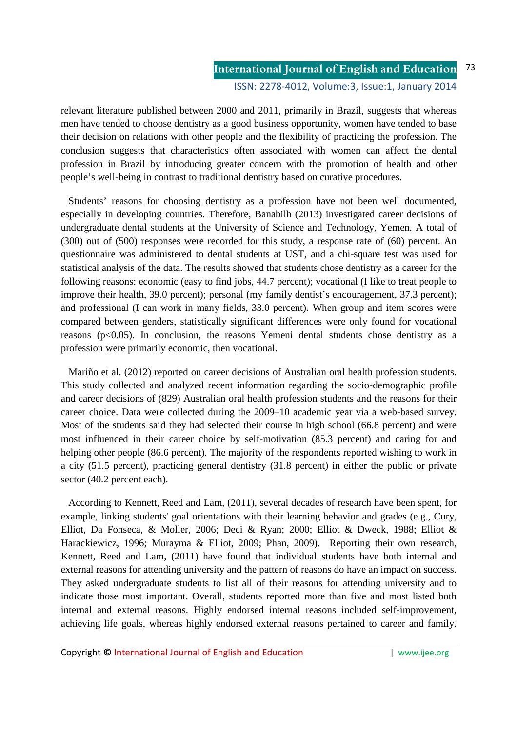relevant literature published between 2000 and 2011, primarily in Brazil, suggests that whereas men have tended to choose dentistry as a good business opportunity, women have tended to base their decision on relations with other people and the flexibility of practicing the profession. The conclusion suggests that characteristics often associated with women can affect the dental profession in Brazil by introducing greater concern with the promotion of health and other people's well-being in contrast to traditional dentistry based on curative procedures.

 Students' reasons for choosing dentistry as a profession have not been well documented, especially in developing countries. Therefore, Banabilh (2013) investigated career decisions of undergraduate dental students at the University of Science and Technology, Yemen. A total of (300) out of (500) responses were recorded for this study, a response rate of (60) percent. An questionnaire was administered to dental students at UST, and a chi-square test was used for statistical analysis of the data. The results showed that students chose dentistry as a career for the following reasons: economic (easy to find jobs, 44.7 percent); vocational (I like to treat people to improve their health, 39.0 percent); personal (my family dentist's encouragement, 37.3 percent); and professional (I can work in many fields, 33.0 percent). When group and item scores were compared between genders, statistically significant differences were only found for vocational reasons ( $p<0.05$ ). In conclusion, the reasons Yemeni dental students chose dentistry as a profession were primarily economic, then vocational.

 Mariño et al. (2012) reported on career decisions of Australian oral health profession students. This study collected and analyzed recent information regarding the socio-demographic profile and career decisions of (829) Australian oral health profession students and the reasons for their career choice. Data were collected during the 2009–10 academic year via a web-based survey. Most of the students said they had selected their course in high school (66.8 percent) and were most influenced in their career choice by self-motivation (85.3 percent) and caring for and helping other people (86.6 percent). The majority of the respondents reported wishing to work in a city (51.5 percent), practicing general dentistry (31.8 percent) in either the public or private sector (40.2 percent each).

 According to Kennett, Reed and Lam, (2011), several decades of research have been spent, for example, linking students' goal orientations with their learning behavior and grades (e.g., Cury, Elliot, Da Fonseca, & Moller, 2006; Deci & Ryan; 2000; Elliot & Dweck, 1988; Elliot & Harackiewicz, 1996; Murayma & Elliot, 2009; Phan, 2009). Reporting their own research, Kennett, Reed and Lam, (2011) have found that individual students have both internal and external reasons for attending university and the pattern of reasons do have an impact on success. They asked undergraduate students to list all of their reasons for attending university and to indicate those most important. Overall, students reported more than five and most listed both internal and external reasons. Highly endorsed internal reasons included self-improvement, achieving life goals, whereas highly endorsed external reasons pertained to career and family.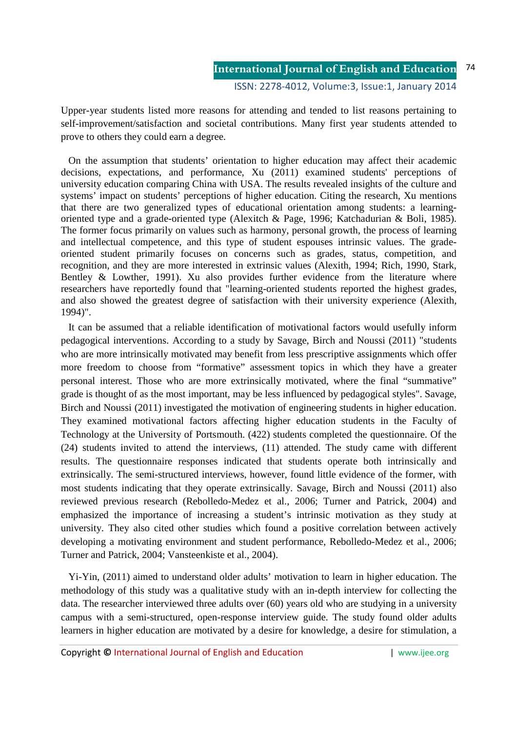Upper-year students listed more reasons for attending and tended to list reasons pertaining to self-improvement/satisfaction and societal contributions. Many first year students attended to prove to others they could earn a degree.

 On the assumption that students' orientation to higher education may affect their academic decisions, expectations, and performance, Xu (2011) examined students' perceptions of university education comparing China with USA. The results revealed insights of the culture and systems' impact on students' perceptions of higher education. Citing the research, Xu mentions that there are two generalized types of educational orientation among students: a learningoriented type and a grade-oriented type (Alexitch & Page, 1996; Katchadurian & Boli, 1985). The former focus primarily on values such as harmony, personal growth, the process of learning and intellectual competence, and this type of student espouses intrinsic values. The gradeoriented student primarily focuses on concerns such as grades, status, competition, and recognition, and they are more interested in extrinsic values (Alexith, 1994; Rich, 1990, Stark, Bentley & Lowther, 1991). Xu also provides further evidence from the literature where researchers have reportedly found that "learning-oriented students reported the highest grades, and also showed the greatest degree of satisfaction with their university experience (Alexith, 1994)".

 It can be assumed that a reliable identification of motivational factors would usefully inform pedagogical interventions. According to a study by Savage, Birch and Noussi (2011) "students who are more intrinsically motivated may benefit from less prescriptive assignments which offer more freedom to choose from "formative" assessment topics in which they have a greater personal interest. Those who are more extrinsically motivated, where the final "summative" grade is thought of as the most important, may be less influenced by pedagogical styles". Savage, Birch and Noussi (2011) investigated the motivation of engineering students in higher education. They examined motivational factors affecting higher education students in the Faculty of Technology at the University of Portsmouth. (422) students completed the questionnaire. Of the (24) students invited to attend the interviews, (11) attended. The study came with different results. The questionnaire responses indicated that students operate both intrinsically and extrinsically. The semi-structured interviews, however, found little evidence of the former, with most students indicating that they operate extrinsically. Savage, Birch and Noussi (2011) also reviewed previous research (Rebolledo-Medez et al., 2006; Turner and Patrick, 2004) and emphasized the importance of increasing a student's intrinsic motivation as they study at university. They also cited other studies which found a positive correlation between actively developing a motivating environment and student performance, Rebolledo-Medez et al., 2006; Turner and Patrick, 2004; Vansteenkiste et al., 2004).

 Yi-Yin, (2011) aimed to understand older adults' motivation to learn in higher education. The methodology of this study was a qualitative study with an in-depth interview for collecting the data. The researcher interviewed three adults over (60) years old who are studying in a university campus with a semi-structured, open-response interview guide. The study found older adults learners in higher education are motivated by a desire for knowledge, a desire for stimulation, a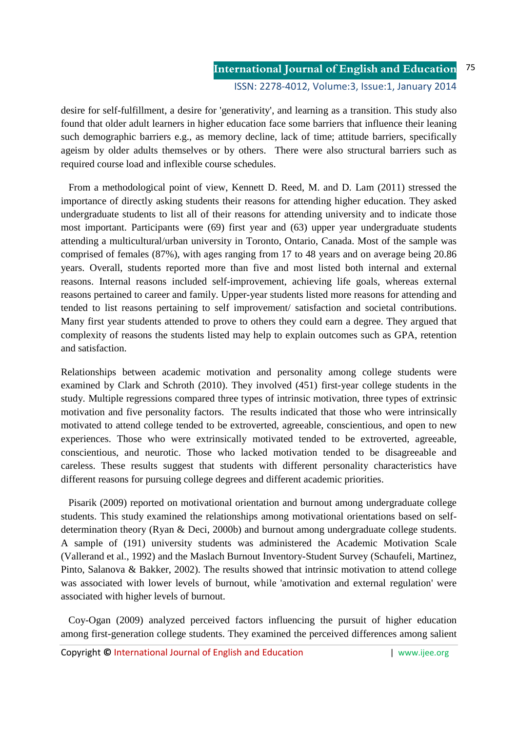desire for self-fulfillment, a desire for 'generativity', and learning as a transition. This study also found that older adult learners in higher education face some barriers that influence their leaning such demographic barriers e.g., as memory decline, lack of time; attitude barriers, specifically ageism by older adults themselves or by others. There were also structural barriers such as required course load and inflexible course schedules.

 From a methodological point of view, Kennett D. Reed, M. and D. Lam (2011) stressed the importance of directly asking students their reasons for attending higher education. They asked undergraduate students to list all of their reasons for attending university and to indicate those most important. Participants were (69) first year and (63) upper year undergraduate students attending a multicultural/urban university in Toronto, Ontario, Canada. Most of the sample was comprised of females (87%), with ages ranging from 17 to 48 years and on average being 20.86 years. Overall, students reported more than five and most listed both internal and external reasons. Internal reasons included self-improvement, achieving life goals, whereas external reasons pertained to career and family. Upper-year students listed more reasons for attending and tended to list reasons pertaining to self improvement/ satisfaction and societal contributions. Many first year students attended to prove to others they could earn a degree. They argued that complexity of reasons the students listed may help to explain outcomes such as GPA, retention and satisfaction.

Relationships between academic motivation and personality among college students were examined by Clark and Schroth (2010). They involved (451) first-year college students in the study. Multiple regressions compared three types of intrinsic motivation, three types of extrinsic motivation and five personality factors. The results indicated that those who were intrinsically motivated to attend college tended to be extroverted, agreeable, conscientious, and open to new experiences. Those who were extrinsically motivated tended to be extroverted, agreeable, conscientious, and neurotic. Those who lacked motivation tended to be disagreeable and careless. These results suggest that students with different personality characteristics have different reasons for pursuing college degrees and different academic priorities.

 Pisarik (2009) reported on motivational orientation and burnout among undergraduate college students. This study examined the relationships among motivational orientations based on selfdetermination theory (Ryan & Deci, 2000b) and burnout among undergraduate college students. A sample of (191) university students was administered the Academic Motivation Scale (Vallerand et al., 1992) and the Maslach Burnout Inventory-Student Survey (Schaufeli, Martinez, Pinto, Salanova & Bakker, 2002). The results showed that intrinsic motivation to attend college was associated with lower levels of burnout, while 'amotivation and external regulation' were associated with higher levels of burnout.

 Coy-Ogan (2009) analyzed perceived factors influencing the pursuit of higher education among first-generation college students. They examined the perceived differences among salient

Copyright **©** International Journal of English and Education | www.ijee.org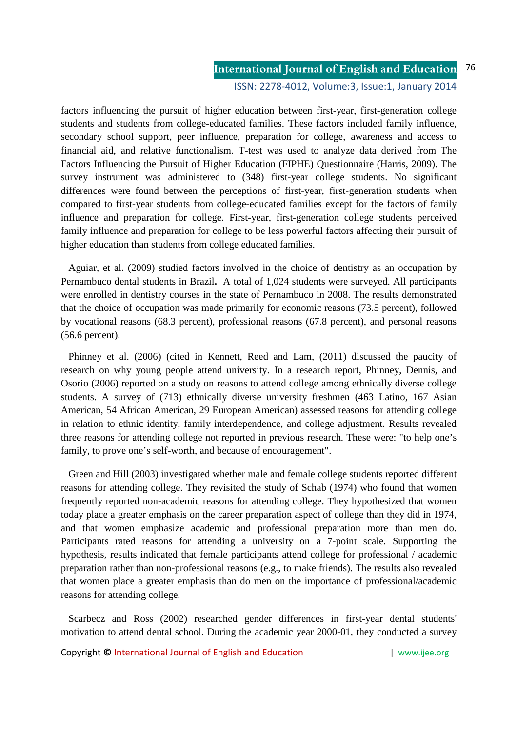factors influencing the pursuit of higher education between first-year, first-generation college students and students from college-educated families. These factors included family influence, secondary school support, peer influence, preparation for college, awareness and access to financial aid, and relative functionalism. T-test was used to analyze data derived from The Factors Influencing the Pursuit of Higher Education (FIPHE) Questionnaire (Harris, 2009). The survey instrument was administered to (348) first-year college students. No significant differences were found between the perceptions of first-year, first-generation students when compared to first-year students from college-educated families except for the factors of family influence and preparation for college. First-year, first-generation college students perceived family influence and preparation for college to be less powerful factors affecting their pursuit of higher education than students from college educated families.

 Aguiar, et al. (2009) studied factors involved in the choice of dentistry as an occupation by Pernambuco dental students in Brazil**.** A total of 1,024 students were surveyed. All participants were enrolled in dentistry courses in the state of Pernambuco in 2008. The results demonstrated that the choice of occupation was made primarily for economic reasons (73.5 percent), followed by vocational reasons (68.3 percent), professional reasons (67.8 percent), and personal reasons (56.6 percent).

 Phinney et al. (2006) (cited in Kennett, Reed and Lam, (2011) discussed the paucity of research on why young people attend university. In a research report, Phinney, Dennis, and Osorio (2006) reported on a study on reasons to attend college among ethnically diverse college students. A survey of (713) ethnically diverse university freshmen (463 Latino, 167 Asian American, 54 African American, 29 European American) assessed reasons for attending college in relation to ethnic identity, family interdependence, and college adjustment. Results revealed three reasons for attending college not reported in previous research. These were: "to help one's family, to prove one's self-worth, and because of encouragement".

 Green and Hill (2003) investigated whether male and female college students reported different reasons for attending college. They revisited the study of Schab (1974) who found that women frequently reported non-academic reasons for attending college. They hypothesized that women today place a greater emphasis on the career preparation aspect of college than they did in 1974, and that women emphasize academic and professional preparation more than men do. Participants rated reasons for attending a university on a 7-point scale. Supporting the hypothesis, results indicated that female participants attend college for professional / academic preparation rather than non-professional reasons (e.g., to make friends). The results also revealed that women place a greater emphasis than do men on the importance of professional/academic reasons for attending college.

 Scarbecz and Ross (2002) researched gender differences in first-year dental students' motivation to attend dental school. During the academic year 2000-01, they conducted a survey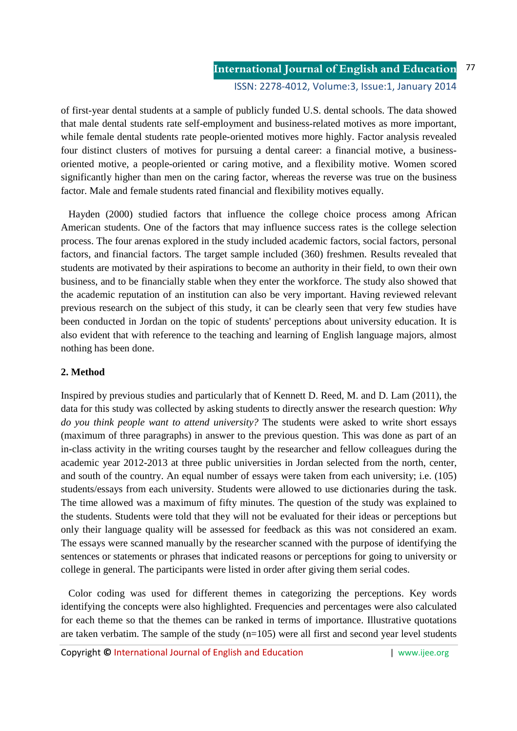of first-year dental students at a sample of publicly funded U.S. dental schools. The data showed that male dental students rate self-employment and business-related motives as more important, while female dental students rate people-oriented motives more highly. Factor analysis revealed four distinct clusters of motives for pursuing a dental career: a financial motive, a businessoriented motive, a people-oriented or caring motive, and a flexibility motive. Women scored significantly higher than men on the caring factor, whereas the reverse was true on the business factor. Male and female students rated financial and flexibility motives equally.

 Hayden (2000) studied factors that influence the college choice process among African American students. One of the factors that may influence success rates is the college selection process. The four arenas explored in the study included academic factors, social factors, personal factors, and financial factors. The target sample included (360) freshmen. Results revealed that students are motivated by their aspirations to become an authority in their field, to own their own business, and to be financially stable when they enter the workforce. The study also showed that the academic reputation of an institution can also be very important. Having reviewed relevant previous research on the subject of this study, it can be clearly seen that very few studies have been conducted in Jordan on the topic of students' perceptions about university education. It is also evident that with reference to the teaching and learning of English language majors, almost nothing has been done.

# **2. Method**

Inspired by previous studies and particularly that of Kennett D. Reed, M. and D. Lam (2011), the data for this study was collected by asking students to directly answer the research question: *Why do you think people want to attend university?* The students were asked to write short essays (maximum of three paragraphs) in answer to the previous question. This was done as part of an in-class activity in the writing courses taught by the researcher and fellow colleagues during the academic year 2012-2013 at three public universities in Jordan selected from the north, center, and south of the country. An equal number of essays were taken from each university; i.e. (105) students/essays from each university. Students were allowed to use dictionaries during the task. The time allowed was a maximum of fifty minutes. The question of the study was explained to the students. Students were told that they will not be evaluated for their ideas or perceptions but only their language quality will be assessed for feedback as this was not considered an exam. The essays were scanned manually by the researcher scanned with the purpose of identifying the sentences or statements or phrases that indicated reasons or perceptions for going to university or college in general. The participants were listed in order after giving them serial codes.

 Color coding was used for different themes in categorizing the perceptions. Key words identifying the concepts were also highlighted. Frequencies and percentages were also calculated for each theme so that the themes can be ranked in terms of importance. Illustrative quotations are taken verbatim. The sample of the study  $(n=105)$  were all first and second year level students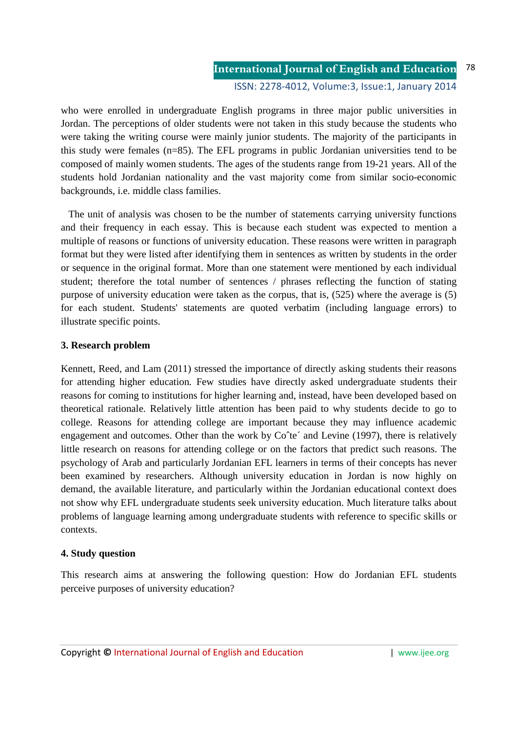#### **International Journal of English and Education** ISSN: 2278-4012, Volume:3, Issue:1, January 2014 78

who were enrolled in undergraduate English programs in three major public universities in Jordan. The perceptions of older students were not taken in this study because the students who were taking the writing course were mainly junior students. The majority of the participants in this study were females (n=85). The EFL programs in public Jordanian universities tend to be composed of mainly women students. The ages of the students range from 19-21 years. All of the students hold Jordanian nationality and the vast majority come from similar socio-economic backgrounds, i.e. middle class families.

 The unit of analysis was chosen to be the number of statements carrying university functions and their frequency in each essay. This is because each student was expected to mention a multiple of reasons or functions of university education. These reasons were written in paragraph format but they were listed after identifying them in sentences as written by students in the order or sequence in the original format. More than one statement were mentioned by each individual student; therefore the total number of sentences / phrases reflecting the function of stating purpose of university education were taken as the corpus, that is, (525) where the average is (5) for each student. Students' statements are quoted verbatim (including language errors) to illustrate specific points.

# **3. Research problem**

Kennett, Reed, and Lam (2011) stressed the importance of directly asking students their reasons for attending higher education*.* Few studies have directly asked undergraduate students their reasons for coming to institutions for higher learning and, instead, have been developed based on theoretical rationale. Relatively little attention has been paid to why students decide to go to college. Reasons for attending college are important because they may influence academic engagement and outcomes. Other than the work by Co<sup> $\text{te}$ </sup> and Levine (1997), there is relatively little research on reasons for attending college or on the factors that predict such reasons. The psychology of Arab and particularly Jordanian EFL learners in terms of their concepts has never been examined by researchers. Although university education in Jordan is now highly on demand, the available literature, and particularly within the Jordanian educational context does not show why EFL undergraduate students seek university education. Much literature talks about problems of language learning among undergraduate students with reference to specific skills or contexts.

# **4. Study question**

This research aims at answering the following question: How do Jordanian EFL students perceive purposes of university education?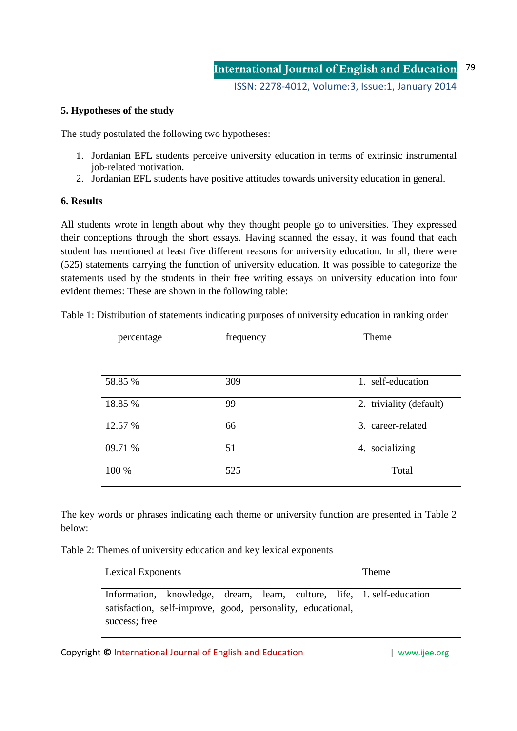# **5. Hypotheses of the study**

The study postulated the following two hypotheses:

- 1. Jordanian EFL students perceive university education in terms of extrinsic instrumental job-related motivation.
- 2. Jordanian EFL students have positive attitudes towards university education in general.

### **6. Results**

All students wrote in length about why they thought people go to universities. They expressed their conceptions through the short essays. Having scanned the essay, it was found that each student has mentioned at least five different reasons for university education. In all, there were (525) statements carrying the function of university education. It was possible to categorize the statements used by the students in their free writing essays on university education into four evident themes: These are shown in the following table:

| percentage | frequency | Theme                   |
|------------|-----------|-------------------------|
|            |           |                         |
|            |           |                         |
|            |           |                         |
|            |           |                         |
|            |           |                         |
| 58.85 %    | 309       | 1. self-education       |
|            |           |                         |
|            |           |                         |
| 18.85 %    | 99        | 2. triviality (default) |
|            |           |                         |
|            |           |                         |
| 12.57 %    | 66        | 3. career-related       |
|            |           |                         |
|            |           |                         |
| 09.71 %    | 51        | 4. socializing          |
|            |           |                         |
|            |           |                         |
| 100 %      | 525       | Total                   |
|            |           |                         |
|            |           |                         |

Table 1: Distribution of statements indicating purposes of university education in ranking order

The key words or phrases indicating each theme or university function are presented in Table 2 below:

Table 2: Themes of university education and key lexical exponents

| Lexical Exponents                                                                                                                                      | Theme |
|--------------------------------------------------------------------------------------------------------------------------------------------------------|-------|
| Information, knowledge, dream, learn, culture, life, 1. self-education<br>satisfaction, self-improve, good, personality, educational,<br>success; free |       |

Copyright **©** International Journal of English and Education | www.ijee.org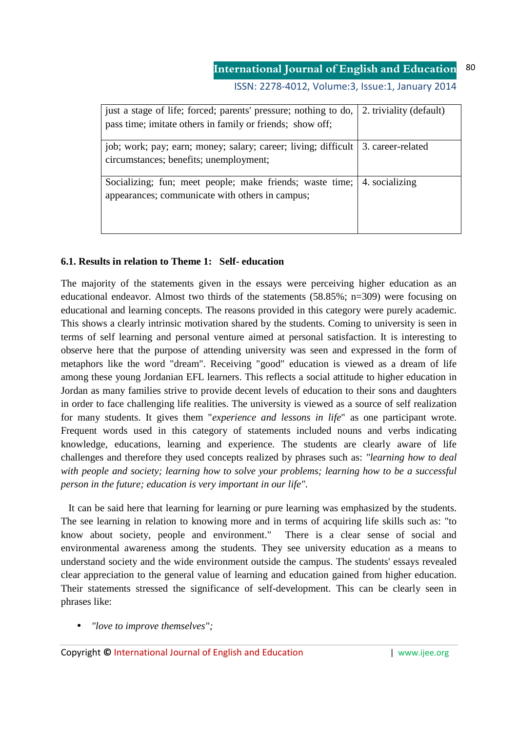ISSN: 2278-4012, Volume:3, Issue:1, January 2014

| just a stage of life; forced; parents' pressure; nothing to do,  <br>pass time; imitate others in family or friends; show off; | 2. triviality (default) |
|--------------------------------------------------------------------------------------------------------------------------------|-------------------------|
| job; work; pay; earn; money; salary; career; living; difficult   3. career-related<br>circumstances; benefits; unemployment;   |                         |
| Socializing; fun; meet people; make friends; waste time;<br>appearances; communicate with others in campus;                    | 4. socializing          |

## **6.1. Results in relation to Theme 1: Self- education**

The majority of the statements given in the essays were perceiving higher education as an educational endeavor. Almost two thirds of the statements (58.85%; n=309) were focusing on educational and learning concepts. The reasons provided in this category were purely academic. This shows a clearly intrinsic motivation shared by the students. Coming to university is seen in terms of self learning and personal venture aimed at personal satisfaction. It is interesting to observe here that the purpose of attending university was seen and expressed in the form of metaphors like the word "dream". Receiving "good" education is viewed as a dream of life among these young Jordanian EFL learners. This reflects a social attitude to higher education in Jordan as many families strive to provide decent levels of education to their sons and daughters in order to face challenging life realities. The university is viewed as a source of self realization for many students. It gives them "*experience and lessons in life*" as one participant wrote. Frequent words used in this category of statements included nouns and verbs indicating knowledge, educations, learning and experience. The students are clearly aware of life challenges and therefore they used concepts realized by phrases such as: *"learning how to deal with people and society; learning how to solve your problems; learning how to be a successful person in the future; education is very important in our life".*

 It can be said here that learning for learning or pure learning was emphasized by the students. The see learning in relation to knowing more and in terms of acquiring life skills such as: "to know about society, people and environment." There is a clear sense of social and environmental awareness among the students. They see university education as a means to understand society and the wide environment outside the campus. The students' essays revealed clear appreciation to the general value of learning and education gained from higher education. Their statements stressed the significance of self-development. This can be clearly seen in phrases like:

• *"love to improve themselves";*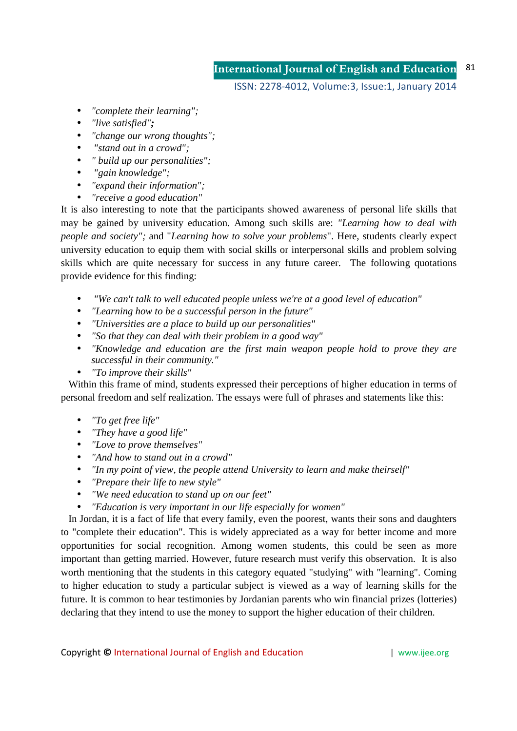ISSN: 2278-4012, Volume:3, Issue:1, January 2014

- *"complete their learning";*
- *"live satisfied";*
- *"change our wrong thoughts";*
- • *"stand out in a crowd";*
- *" build up our personalities";*
- • *"gain knowledge";*
- *"expand their information";*
- *"receive a good education"*

It is also interesting to note that the participants showed awareness of personal life skills that may be gained by university education. Among such skills are: *"Learning how to deal with people and society";* and "*Learning how to solve your problems*". Here, students clearly expect university education to equip them with social skills or interpersonal skills and problem solving skills which are quite necessary for success in any future career. The following quotations provide evidence for this finding:

- • *"We can't talk to well educated people unless we're at a good level of education"*
- *"Learning how to be a successful person in the future"*
- *"Universities are a place to build up our personalities"*
- *"So that they can deal with their problem in a good way"*
- *"Knowledge and education are the first main weapon people hold to prove they are successful in their community."*
- *"To improve their skills"*

 Within this frame of mind, students expressed their perceptions of higher education in terms of personal freedom and self realization. The essays were full of phrases and statements like this:

- *"To get free life"*
- *"They have a good life"*
- *"Love to prove themselves"*
- *"And how to stand out in a crowd"*
- *"In my point of view, the people attend University to learn and make theirself"*
- *"Prepare their life to new style"*
- *"We need education to stand up on our feet"*
- *"Education is very important in our life especially for women"*

 In Jordan, it is a fact of life that every family, even the poorest, wants their sons and daughters to "complete their education". This is widely appreciated as a way for better income and more opportunities for social recognition. Among women students, this could be seen as more important than getting married. However, future research must verify this observation. It is also worth mentioning that the students in this category equated "studying" with "learning". Coming to higher education to study a particular subject is viewed as a way of learning skills for the future. It is common to hear testimonies by Jordanian parents who win financial prizes (lotteries) declaring that they intend to use the money to support the higher education of their children.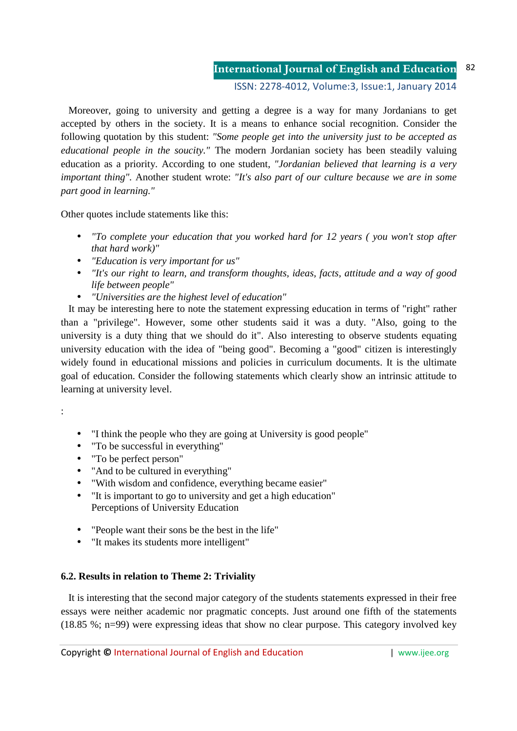ISSN: 2278-4012, Volume:3, Issue:1, January 2014

 Moreover, going to university and getting a degree is a way for many Jordanians to get accepted by others in the society. It is a means to enhance social recognition. Consider the following quotation by this student: *"Some people get into the university just to be accepted as educational people in the soucity."* The modern Jordanian society has been steadily valuing education as a priority. According to one student, *"Jordanian believed that learning is a very important thing".* Another student wrote: *"It's also part of our culture because we are in some part good in learning."* 

Other quotes include statements like this:

- *"To complete your education that you worked hard for 12 years ( you won't stop after that hard work)"*
- *"Education is very important for us"*
- *"It's our right to learn, and transform thoughts, ideas, facts, attitude and a way of good life between people"*
- *"Universities are the highest level of education"*

 It may be interesting here to note the statement expressing education in terms of "right" rather than a "privilege". However, some other students said it was a duty. "Also, going to the university is a duty thing that we should do it". Also interesting to observe students equating university education with the idea of "being good". Becoming a "good" citizen is interestingly widely found in educational missions and policies in curriculum documents. It is the ultimate goal of education. Consider the following statements which clearly show an intrinsic attitude to learning at university level.

:

- "I think the people who they are going at University is good people"
- "To be successful in everything"
- "To be perfect person"
- "And to be cultured in everything"
- "With wisdom and confidence, everything became easier"
- "It is important to go to university and get a high education" Perceptions of University Education
- "People want their sons be the best in the life"
- "It makes its students more intelligent"

#### **6.2. Results in relation to Theme 2: Triviality**

 It is interesting that the second major category of the students statements expressed in their free essays were neither academic nor pragmatic concepts. Just around one fifth of the statements (18.85 %; n=99) were expressing ideas that show no clear purpose. This category involved key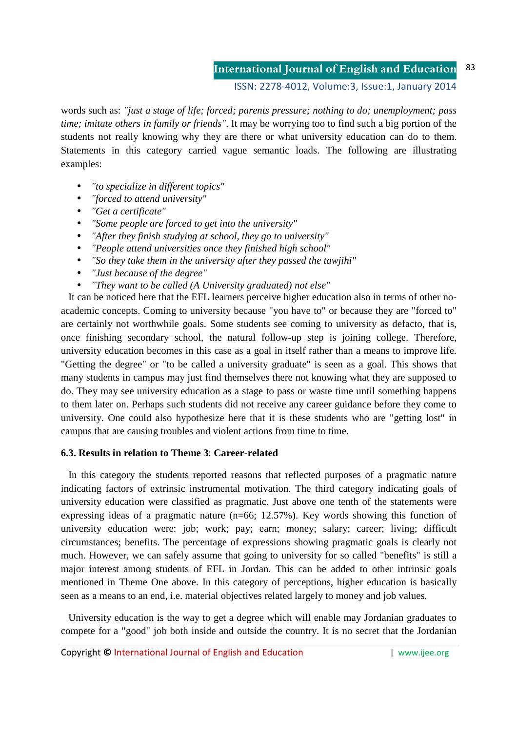ISSN: 2278-4012, Volume:3, Issue:1, January 2014

words such as: *"just a stage of life; forced; parents pressure; nothing to do; unemployment; pass time; imitate others in family or friends"*. It may be worrying too to find such a big portion of the students not really knowing why they are there or what university education can do to them. Statements in this category carried vague semantic loads. The following are illustrating examples:

- *"to specialize in different topics"*
- *"forced to attend university"*
- *"Get a certificate"*
- *"Some people are forced to get into the university"*
- *"After they finish studying at school, they go to university"*
- *"People attend universities once they finished high school"*
- *"So they take them in the university after they passed the tawjihi"*
- *"Just because of the degree"*
- *"They want to be called (A University graduated) not else"*

It can be noticed here that the EFL learners perceive higher education also in terms of other noacademic concepts. Coming to university because "you have to" or because they are "forced to" are certainly not worthwhile goals. Some students see coming to university as defacto, that is, once finishing secondary school, the natural follow-up step is joining college. Therefore, university education becomes in this case as a goal in itself rather than a means to improve life. "Getting the degree" or "to be called a university graduate" is seen as a goal. This shows that many students in campus may just find themselves there not knowing what they are supposed to do. They may see university education as a stage to pass or waste time until something happens to them later on. Perhaps such students did not receive any career guidance before they come to university. One could also hypothesize here that it is these students who are "getting lost" in campus that are causing troubles and violent actions from time to time.

## **6.3. Results in relation to Theme 3**: **Career-related**

 In this category the students reported reasons that reflected purposes of a pragmatic nature indicating factors of extrinsic instrumental motivation. The third category indicating goals of university education were classified as pragmatic. Just above one tenth of the statements were expressing ideas of a pragmatic nature (n=66; 12.57%). Key words showing this function of university education were: job; work; pay; earn; money; salary; career; living; difficult circumstances; benefits. The percentage of expressions showing pragmatic goals is clearly not much. However, we can safely assume that going to university for so called "benefits" is still a major interest among students of EFL in Jordan. This can be added to other intrinsic goals mentioned in Theme One above. In this category of perceptions, higher education is basically seen as a means to an end, i.e. material objectives related largely to money and job values.

 University education is the way to get a degree which will enable may Jordanian graduates to compete for a "good" job both inside and outside the country. It is no secret that the Jordanian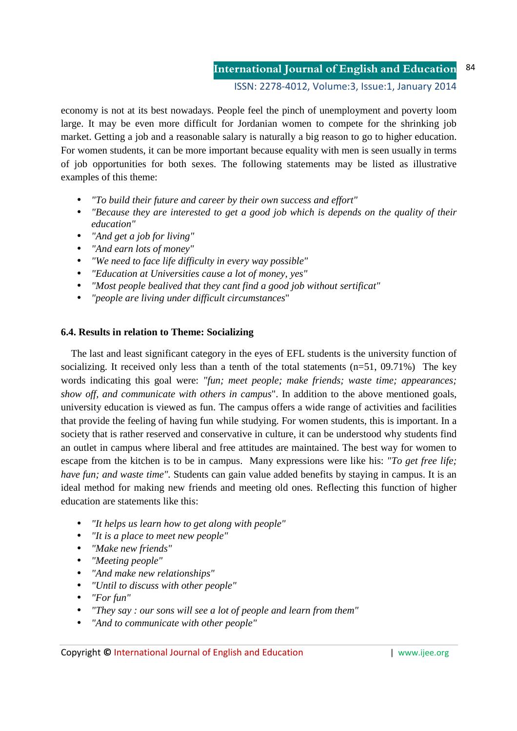ISSN: 2278-4012, Volume:3, Issue:1, January 2014

economy is not at its best nowadays. People feel the pinch of unemployment and poverty loom large. It may be even more difficult for Jordanian women to compete for the shrinking job market. Getting a job and a reasonable salary is naturally a big reason to go to higher education. For women students, it can be more important because equality with men is seen usually in terms of job opportunities for both sexes. The following statements may be listed as illustrative examples of this theme:

- *"To build their future and career by their own success and effort"*
- *"Because they are interested to get a good job which is depends on the quality of their education"*
- *"And get a job for living"*
- *"And earn lots of money"*
- *"We need to face life difficulty in every way possible"*
- *"Education at Universities cause a lot of money, yes"*
- *"Most people bealived that they cant find a good job without sertificat"*
- *"people are living under difficult circumstances*"

## **6.4. Results in relation to Theme: Socializing**

 The last and least significant category in the eyes of EFL students is the university function of socializing. It received only less than a tenth of the total statements (n=51, 09.71%) The key words indicating this goal were: *"fun; meet people; make friends; waste time; appearances; show off, and communicate with others in campus*". In addition to the above mentioned goals, university education is viewed as fun. The campus offers a wide range of activities and facilities that provide the feeling of having fun while studying. For women students, this is important. In a society that is rather reserved and conservative in culture, it can be understood why students find an outlet in campus where liberal and free attitudes are maintained. The best way for women to escape from the kitchen is to be in campus. Many expressions were like his: *"To get free life; have fun; and waste time".* Students can gain value added benefits by staying in campus. It is an ideal method for making new friends and meeting old ones. Reflecting this function of higher education are statements like this:

- *"It helps us learn how to get along with people"*
- *"It is a place to meet new people"*
- *"Make new friends"*
- *"Meeting people"*
- *"And make new relationships"*
- *"Until to discuss with other people"*
- *"For fun"*
- *"They say : our sons will see a lot of people and learn from them"*
- *"And to communicate with other people"*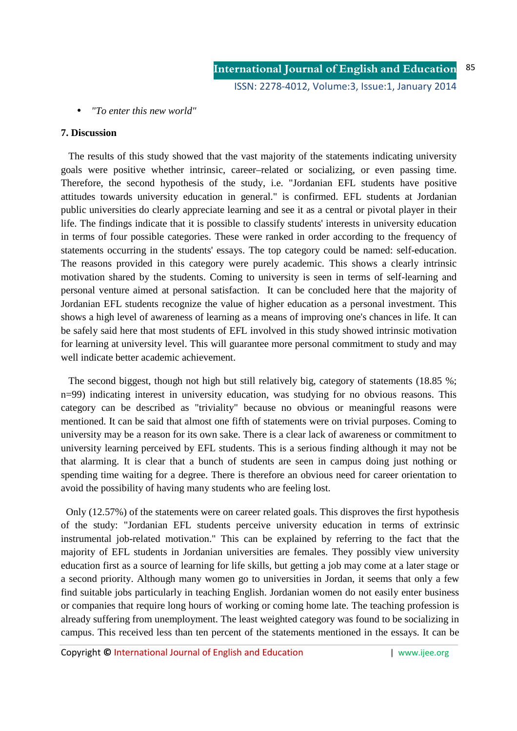• *"To enter this new world"* 

### **7. Discussion**

 The results of this study showed that the vast majority of the statements indicating university goals were positive whether intrinsic, career–related or socializing, or even passing time. Therefore, the second hypothesis of the study, i.e. "Jordanian EFL students have positive attitudes towards university education in general." is confirmed. EFL students at Jordanian public universities do clearly appreciate learning and see it as a central or pivotal player in their life. The findings indicate that it is possible to classify students' interests in university education in terms of four possible categories. These were ranked in order according to the frequency of statements occurring in the students' essays. The top category could be named: self-education. The reasons provided in this category were purely academic. This shows a clearly intrinsic motivation shared by the students. Coming to university is seen in terms of self-learning and personal venture aimed at personal satisfaction. It can be concluded here that the majority of Jordanian EFL students recognize the value of higher education as a personal investment. This shows a high level of awareness of learning as a means of improving one's chances in life. It can be safely said here that most students of EFL involved in this study showed intrinsic motivation for learning at university level. This will guarantee more personal commitment to study and may well indicate better academic achievement.

The second biggest, though not high but still relatively big, category of statements (18.85 %; n=99) indicating interest in university education, was studying for no obvious reasons. This category can be described as "triviality" because no obvious or meaningful reasons were mentioned. It can be said that almost one fifth of statements were on trivial purposes. Coming to university may be a reason for its own sake. There is a clear lack of awareness or commitment to university learning perceived by EFL students. This is a serious finding although it may not be that alarming. It is clear that a bunch of students are seen in campus doing just nothing or spending time waiting for a degree. There is therefore an obvious need for career orientation to avoid the possibility of having many students who are feeling lost.

 Only (12.57%) of the statements were on career related goals. This disproves the first hypothesis of the study: "Jordanian EFL students perceive university education in terms of extrinsic instrumental job-related motivation." This can be explained by referring to the fact that the majority of EFL students in Jordanian universities are females. They possibly view university education first as a source of learning for life skills, but getting a job may come at a later stage or a second priority. Although many women go to universities in Jordan, it seems that only a few find suitable jobs particularly in teaching English. Jordanian women do not easily enter business or companies that require long hours of working or coming home late. The teaching profession is already suffering from unemployment. The least weighted category was found to be socializing in campus. This received less than ten percent of the statements mentioned in the essays. It can be

Copyright **©** International Journal of English and Education | www.ijee.org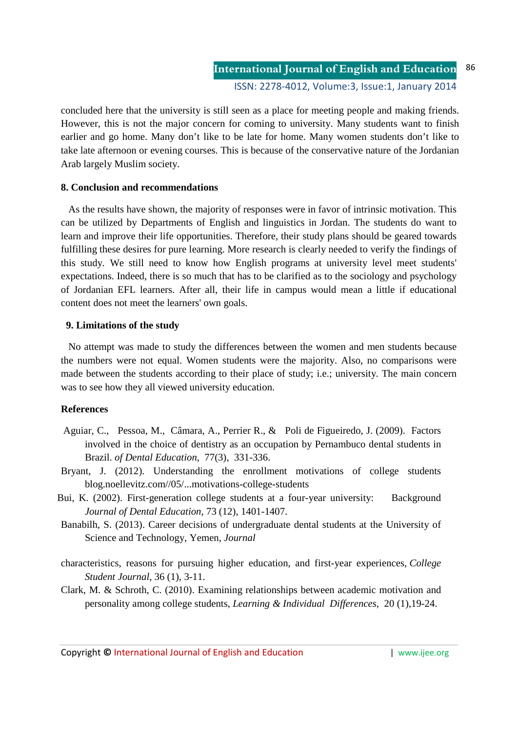concluded here that the university is still seen as a place for meeting people and making friends. However, this is not the major concern for coming to university. Many students want to finish earlier and go home. Many don't like to be late for home. Many women students don't like to take late afternoon or evening courses. This is because of the conservative nature of the Jordanian Arab largely Muslim society.

## **8. Conclusion and recommendations**

 As the results have shown, the majority of responses were in favor of intrinsic motivation. This can be utilized by Departments of English and linguistics in Jordan. The students do want to learn and improve their life opportunities. Therefore, their study plans should be geared towards fulfilling these desires for pure learning. More research is clearly needed to verify the findings of this study. We still need to know how English programs at university level meet students' expectations. Indeed, there is so much that has to be clarified as to the sociology and psychology of Jordanian EFL learners. After all, their life in campus would mean a little if educational content does not meet the learners' own goals.

## **9. Limitations of the study**

 No attempt was made to study the differences between the women and men students because the numbers were not equal. Women students were the majority. Also, no comparisons were made between the students according to their place of study; i.e.; university. The main concern was to see how they all viewed university education.

# **References**

- Aguiar, C., Pessoa, M., Câmara, A., Perrier R., & Poli de Figueiredo, J. (2009). Factors involved in the choice of dentistry as an occupation by Pernambuco dental students in Brazil. *of Dental Education*, 77(3), 331-336.
- Bryant, J. (2012). Understanding the enrollment motivations of college students blog.noellevitz.com//05/...motivations-college-students
- Bui, K. (2002). First-generation college students at a four-year university: Background *Journal of Dental Education*, 73 (12), 1401-1407.
- Banabilh, S. (2013). Career decisions of undergraduate dental students at the University of Science and Technology, Yemen, *Journal*
- characteristics, reasons for pursuing higher education, and first-year experiences, *College Student Journal*, 36 (1), 3-11.
- Clark, M. & Schroth, C. (2010). Examining relationships between academic motivation and personality among college students, *Learning & Individual Differences*, 20 (1),19-24.